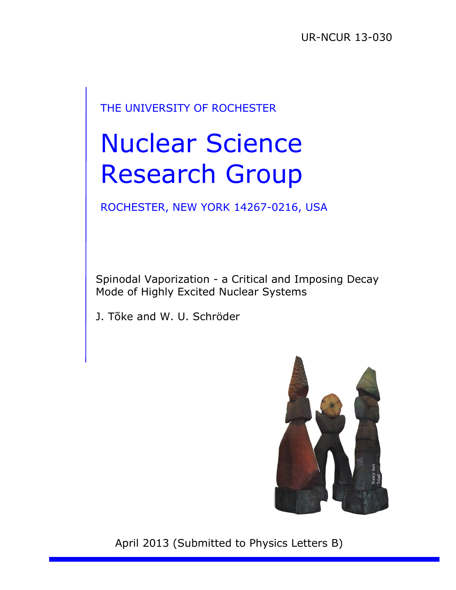## THE UNIVERSITY OF ROCHESTER

# Nuclear Science Research Group

ROCHESTER, NEW YORK 14267-0216, USA

Spinodal Vaporization - a Critical and Imposing Decay Mode of Highly Excited Nuclear Systems

J. Tõke and W. U. Schröder



April 2013 (Submitted to Physics Letters B)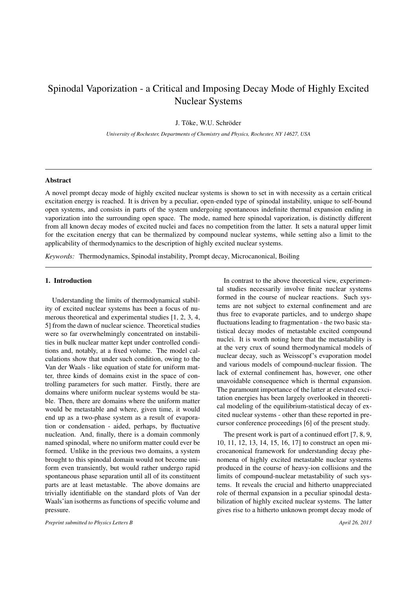### Spinodal Vaporization - a Critical and Imposing Decay Mode of Highly Excited Nuclear Systems

J. Tõke, W.U. Schröder

*University of Rochester, Departments of Chemistry and Physics, Rochester, NY 14627, USA*

#### Abstract

A novel prompt decay mode of highly excited nuclear systems is shown to set in with necessity as a certain critical excitation energy is reached. It is driven by a peculiar, open-ended type of spinodal instability, unique to self-bound open systems, and consists in parts of the system undergoing spontaneous indefinite thermal expansion ending in vaporization into the surrounding open space. The mode, named here spinodal vaporization, is distinctly different from all known decay modes of excited nuclei and faces no competition from the latter. It sets a natural upper limit for the excitation energy that can be thermalized by compound nuclear systems, while setting also a limit to the applicability of thermodynamics to the description of highly excited nuclear systems.

*Keywords:* Thermodynamics, Spinodal instability, Prompt decay, Microcanonical, Boiling

#### 1. Introduction

Understanding the limits of thermodynamical stability of excited nuclear systems has been a focus of numerous theoretical and experimental studies [1, 2, 3, 4, 5] from the dawn of nuclear science. Theoretical studies were so far overwhelmingly concentrated on instabilities in bulk nuclear matter kept under controlled conditions and, notably, at a fixed volume. The model calculations show that under such condition, owing to the Van der Waals - like equation of state for uniform matter, three kinds of domains exist in the space of controlling parameters for such matter. Firstly, there are domains where uniform nuclear systems would be stable. Then, there are domains where the uniform matter would be metastable and where, given time, it would end up as a two-phase system as a result of evaporation or condensation - aided, perhaps, by fluctuative nucleation. And, finally, there is a domain commonly named spinodal, where no uniform matter could ever be formed. Unlike in the previous two domains, a system brought to this spinodal domain would not become uniform even transiently, but would rather undergo rapid spontaneous phase separation until all of its constituent parts are at least metastable. The above domains are trivially identifiable on the standard plots of Van der Waals'ian isotherms as functions of specific volume and pressure.

*Preprint submitted to Physics Letters B April 26, 2013*

In contrast to the above theoretical view, experimental studies necessarily involve finite nuclear systems formed in the course of nuclear reactions. Such systems are not subject to external confinement and are thus free to evaporate particles, and to undergo shape fluctuations leading to fragmentation - the two basic statistical decay modes of metastable excited compound nuclei. It is worth noting here that the metastability is at the very crux of sound thermodynamical models of nuclear decay, such as Weisscopf's evaporation model and various models of compound-nuclear fission. The lack of external confinement has, however, one other unavoidable consequence which is thermal expansion. The paramount importance of the latter at elevated excitation energies has been largely overlooked in theoretical modeling of the equilibrium-statistical decay of excited nuclear systems - other than these reported in precursor conference proceedings [6] of the present study.

The present work is part of a continued effort [7, 8, 9, 10, 11, 12, 13, 14, 15, 16, 17] to construct an open microcanonical framework for understanding decay phenomena of highly excited metastable nuclear systems produced in the course of heavy-ion collisions and the limits of compound-nuclear metastability of such systems. It reveals the crucial and hitherto unappreciated role of thermal expansion in a peculiar spinodal destabilization of highly excited nuclear systems. The latter gives rise to a hitherto unknown prompt decay mode of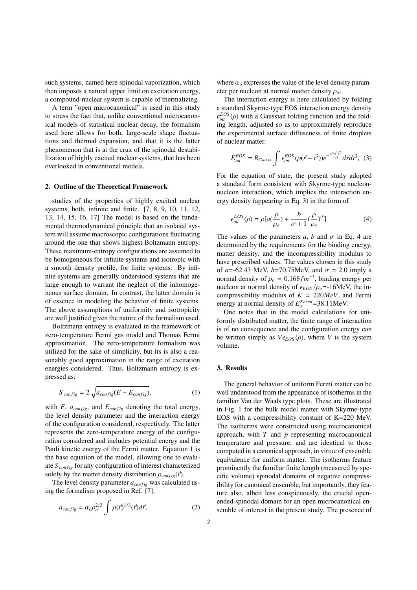such systems, named here spinodal vaporization, which then imposes a natural upper limit on excitation energy, a compound-nuclear system is capable of thermalizing.

A term "open microcanonical" is used in this study to stress the fact that, unlike conventional microcanonical models of statistical nuclear decay, the formalism used here allows for both, large-scale shape fluctuations and thermal expansion, and that it is the latter phenomenon that is at the crux of the spinodal destabilization of highly excited nuclear systems, that has been overlooked in conventional models.

#### 2. Outline of the Theoretical Framework

studies of the properties of highly excited nuclear systems, both, infinite and finite. [7, 8, 9, 10, 11, 12, 13, 14, 15, 16, 17] The model is based on the fundamental thermodynamical principle that an isolated system will assume macroscopic configurations fluctuating around the one that shows highest Boltzmann entropy. These maximum-entropy configurations are assumed to be homogeneous for infinite systems and isotropic with a smooth density profile, for finite systems. By infinite systems are generally understood systems that are large enough to warrant the neglect of the inhomogeneous surface domain. In contrast, the latter domain is of essence in modeling the behavior of finite systems. The above assumptions of uniformity and isotropicity are well justified given the nature of the formalism used.

Boltzmann entropy is evaluated in the framework of zero-temperature Fermi gas model and Thomas Fermi approximation. The zero-temperature formalism was utilized for the sake of simplicity, but its is also a reasonably good approximation in the range of excitation energies considered. Thus, Boltzmann entropy is expressed as:

$$
S_{config} = 2\sqrt{a_{config}(E - E_{config})},\tag{1}
$$

with  $E$ ,  $a_{config}$ , and  $E_{config}$  denoting the total energy, the level density parameter and the interaction energy of the configuration considered, respectively. The latter represents the zero-temperature energy of the configuration considered and includes potential energy and the Pauli kinetic energy of the Fermi matter. Equation 1 is the base equation of the model, allowing one to evaluate *S configuration* of interest characterized solely by the matter density distribution  $\rho_{config}(\vec{r})$ .

The level density parameter  $a_{config}$  was calculated using the formalism proposed in Ref. [7]:

$$
a_{config} = \alpha_o \rho_o^{2/3} \int \rho(\vec{r})^{1/3} (\vec{r}) d\vec{r}, \qquad (2)
$$

where  $\alpha$ <sub>o</sub> expresses the value of the level density parameter per nucleon at normal matter density ρ*o*.

The interaction energy is here calculated by folding a standard Skyrme-type EOS interaction energy density  $\epsilon_{int}^{EOS}(\rho)$  with a Gaussian folding function and the folding length, adjusted so as to approximately reproduce the experimental surface diffuseness of finite droplets of nuclear matter.

$$
E_{int}^{EOS} = R_{Gauss} \int \epsilon_{int}^{EOS} (\rho(\vec{r} - \vec{r'}) ) e^{-\frac{(\vec{r} - \vec{r'})^2}{2\lambda^2}} d\vec{r} d\vec{r'}, \tag{3}
$$

For the equation of state, the present study adopted a standard form consistent with Skyrme-type nucleonnucleon interaction, which implies the interaction energy density (appearing in Eq. 3) in the form of

$$
\epsilon_{int}^{EOS}(\rho) = \rho [a(\frac{\rho}{\rho_o}) + \frac{b}{\sigma + 1}(\frac{\rho}{\rho_o})^{\sigma}]
$$
(4)

The values of the parameters  $a$ ,  $b$  and  $\sigma$  in Eq. 4 are determined by the requirements for the binding energy, matter density, and the incompressibility modulus to have prescribed values. The values chosen in this study of  $a = -62.43$  MeV,  $b = 70.75$ MeV, and  $\sigma = 2.0$  imply a normal density of  $\rho_o = 0.168 fm^{-3}$ , binding energy per nucleon at normal density of  $\epsilon_{EOS}$  / $\rho_o$ =-16MeV, the incompressibility modulus of  $K = 220MeV$ , and Fermi energy at normal density of  $E_o^{Fermi}$  =38.11MeV.

One notes that in the model calculations for uniformly distributed matter, the finite range of interaction is of no consequence and the configuration energy can be written simply as  $V \epsilon_{EOS}(\rho)$ , where *V* is the system volume.

#### 3. Results

The general behavior of uniform Fermi matter can be well understood from the appearance of isotherms in the familiar Van der Waals type plots. These are illustrated in Fig. 1 for the bulk model matter with Skyrme-type EOS with a compressibility constant of K=220 MeV. The isotherms were constructed using microcanonical approach, with *T* and *p* representing microcanonical temperature and pressure, and are identical to those computed in a canonical approach, in virtue of ensemble equivalence for uniform matter. The isotherms feature prominently the familiar finite length (measured by specific volume) spinodal domains of negative compressibility for canonical ensemble, but importantly, they feature also, albeit less conspicuously, the crucial openended spinodal domain for an open microcanonical ensemble of interest in the present study. The presence of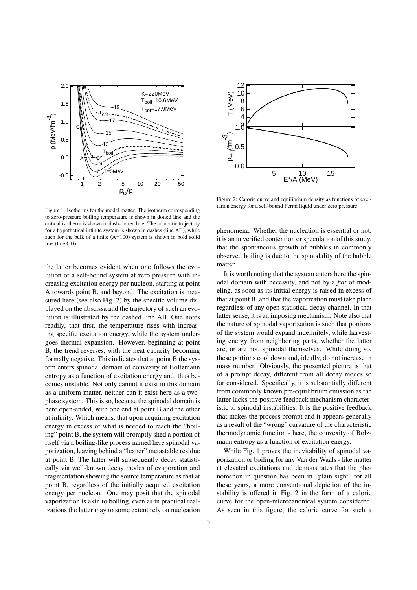

12 10 8 6 4  $1.\overline{6}$ T (MeV) 0.5 0.0 ρeq(fm-3 ) $5$  10 15 E\*/A (MeV)

Figure 2: Caloric curve and equilibrium density as functions of excitation energy for a self-bound Fermi liquid under zero pressure.

Figure 1: Isotherms for the model matter. The isotherm corresponding to zero-pressure boiling temperature is shown in dotted line and the critical isotherm is shown in dash-dotted line. The adiabatic trajectory for a hypothetical infinite system is shown in dashes (line AB), while such for the bulk of a finite  $(A=100)$  system is shown in bold solid line (line CD).

the latter becomes evident when one follows the evolution of a self-bound system at zero pressure with increasing excitation energy per nucleon, starting at point A towards point B, and beyond. The excitation is measured here (see also Fig. 2) by the specific volume displayed on the abscissa and the trajectory of such an evolution is illustrated by the dashed line AB. One notes readily, that first, the temperature rises with increasing specific excitation energy, while the system undergoes thermal expansion. However, beginning at point B, the trend reverses, with the heat capacity becoming formally negative. This indicates that at point B the system enters spinodal domain of convexity of Boltzmann entropy as a function of excitation energy and, thus becomes unstable. Not only cannot it exist in this domain as a uniform matter, neither can it exist here as a twophase system. This is so, because the spinodal domain is here open-ended, with one end at point B and the other at infinity. Which means, that upon acquiring excitation energy in excess of what is needed to reach the "boiling" point B, the system will promptly shed a portion of itself via a boiling-like process named here spinodal vaporization, leaving behind a "leaner" metastable residue at point B. The latter will subsequently decay statistically via well-known decay modes of evaporation and fragmentation showing the source temperature as that at point B, regardless of the initially acquired excitation energy per nucleon. One may posit that the spinodal vaporization is akin to boiling, even as in practical realizations the latter may to some extent rely on nucleation

phenomena. Whether the nucleation is essential or not, it is an unverified contention or speculation of this study, that the spontaneous growth of bubbles in commonly observed boiling is due to the spinodality of the bubble matter.

It is worth noting that the system enters here the spinodal domain with necessity, and not by a *fiat* of modeling, as soon as its initial energy is raised in excess of that at point B, and that the vaporization must take place regardless of any open statistical decay channel. In that latter sense, it is an imposing mechanism. Note also that the nature of spinodal vaporization is such that portions of the system would expand indefinitely, while harvesting energy from neighboring parts, whether the latter are, or are not, spinodal themselves. While doing so, these portions cool down and, ideally, do not increase in mass number. Obviously, the presented picture is that of a prompt decay, different from all decay modes so far considered. Specifically, it is substantially different from commonly known pre-equilibrium emission as the latter lacks the positive feedback mechanism characteristic to spinodal instabilities. It is the positive feedback that makes the process prompt and it appears generally as a result of the "wrong" curvature of the characteristic thermodynamic function - here, the convexity of Bolzmann entropy as a function of excitation energy.

While Fig. 1 proves the inevitability of spinodal vaporization or boiling for any Van der Waals - like matter at elevated excitations and demonstrates that the phenomenon in question has been in "plain sight" for all these years, a more conventional depiction of the instability is offered in Fig. 2 in the form of a caloric curve for the open-microcanonical system considered. As seen in this figure, the caloric curve for such a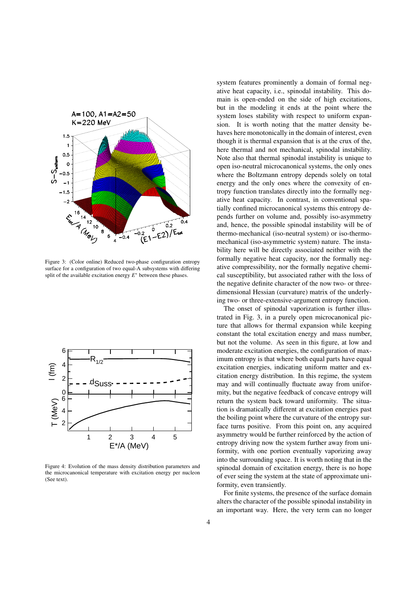

Figure 3: (Color online) Reduced two-phase configuration entropy surface for a configuration of two equal-A subsystems with differing split of the available excitation energy  $E^*$  between these phases.



Figure 4: Evolution of the mass density distribution parameters and the microcanonical temperature with excitation energy per nucleon (See text).

system features prominently a domain of formal negative heat capacity, i.e., spinodal instability. This domain is open-ended on the side of high excitations, but in the modeling it ends at the point where the system loses stability with respect to uniform expansion. It is worth noting that the matter density behaves here monotonically in the domain of interest, even though it is thermal expansion that is at the crux of the, here thermal and not mechanical, spinodal instability. Note also that thermal spinodal instability is unique to open iso-neutral microcanonical systems, the only ones where the Boltzmann entropy depends solely on total energy and the only ones where the convexity of entropy function translates directly into the formally negative heat capacity. In contrast, in conventional spatially confined microcanonical systems this entropy depends further on volume and, possibly iso-asymmetry and, hence, the possible spinodal instability will be of thermo-mechanical (iso-neutral system) or iso-thermomechanical (iso-asymmetric system) nature. The instability here will be directly associated neither with the formally negative heat capacity, nor the formally negative compressibility, nor the formally negative chemical susceptibility, but associated rather with the loss of the negative definite character of the now two- or threedimensional Hessian (curvature) matrix of the underlying two- or three-extensive-argument entropy function.

The onset of spinodal vaporization is further illustrated in Fig. 3, in a purely open microcanonical picture that allows for thermal expansion while keeping constant the total excitation energy and mass number, but not the volume. As seen in this figure, at low and moderate excitation energies, the configuration of maximum entropy is that where both equal parts have equal excitation energies, indicating uniform matter and excitation energy distribution. In this regime, the system may and will continually fluctuate away from uniformity, but the negative feedback of concave entropy will return the system back toward uniformity. The situation is dramatically different at excitation energies past the boiling point where the curvature of the entropy surface turns positive. From this point on, any acquired asymmetry would be further reinforced by the action of entropy driving now the system further away from uniformity, with one portion eventually vaporizing away into the surrounding space. It is worth noting that in the spinodal domain of excitation energy, there is no hope of ever seing the system at the state of approximate uniformity, even transiently.

For finite systems, the presence of the surface domain alters the character of the possible spinodal instability in an important way. Here, the very term can no longer